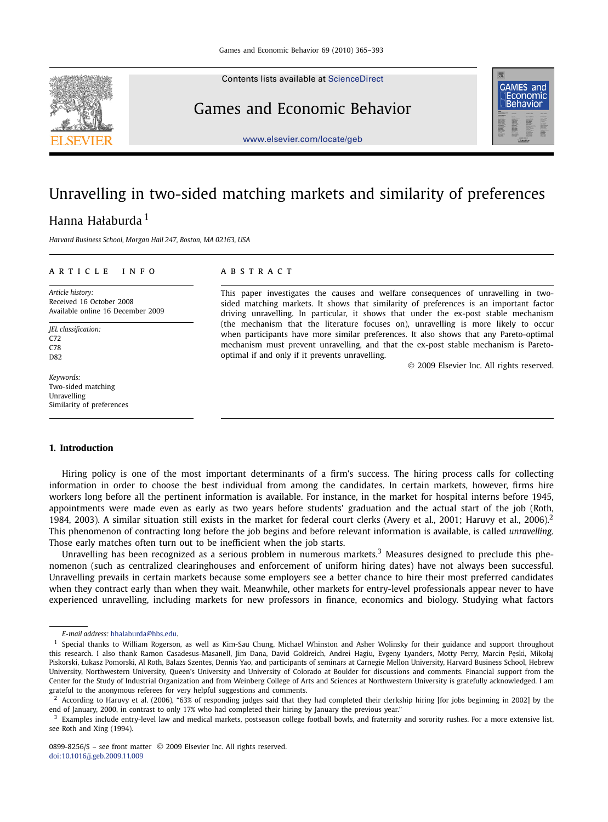Contents lists available at [ScienceDirect](http://www.ScienceDirect.com/)

## Games and Economic Behavior



[www.elsevier.com/locate/geb](http://www.elsevier.com/locate/geb)

## Unravelling in two-sided matching markets and similarity of preferences Hanna Hałaburda <sup>1</sup>

*Harvard Business School, Morgan Hall 247, Boston, MA 02163, USA*

### article info abstract

*Article history:* Received 16 October 2008 Available online 16 December 2009

*JEL classification:* C72 C78 D<sub>82</sub>

*Keywords:* Two-sided matching Unravelling Similarity of preferences

This paper investigates the causes and welfare consequences of unravelling in twosided matching markets. It shows that similarity of preferences is an important factor driving unravelling. In particular, it shows that under the ex-post stable mechanism (the mechanism that the literature focuses on), unravelling is more likely to occur when participants have more similar preferences. It also shows that any Pareto-optimal mechanism must prevent unravelling, and that the ex-post stable mechanism is Paretooptimal if and only if it prevents unravelling.

© 2009 Elsevier Inc. All rights reserved.

### **1. Introduction**

Hiring policy is one of the most important determinants of a firm's success. The hiring process calls for collecting information in order to choose the best individual from among the candidates. In certain markets, however, firms hire workers long before all the pertinent information is available. For instance, in the market for hospital interns before 1945, appointments were made even as early as two years before students' graduation and the actual start of the job (Roth, 1984, 2003). A similar situation still exists in the market for federal court clerks (Avery et al., 2001; Haruvy et al., 2006).<sup>2</sup> This phenomenon of contracting long before the job begins and before relevant information is available, is called *unravelling*. Those early matches often turn out to be inefficient when the job starts.

Unravelling has been recognized as a serious problem in numerous markets.<sup>3</sup> Measures designed to preclude this phenomenon (such as centralized clearinghouses and enforcement of uniform hiring dates) have not always been successful. Unravelling prevails in certain markets because some employers see a better chance to hire their most preferred candidates when they contract early than when they wait. Meanwhile, other markets for entry-level professionals appear never to have experienced unravelling, including markets for new professors in finance, economics and biology. Studying what factors

*E-mail address:* [hhalaburda@hbs.edu.](mailto:hhalaburda@hbs.edu)

<sup>&</sup>lt;sup>1</sup> Special thanks to William Rogerson, as well as Kim-Sau Chung, Michael Whinston and Asher Wolinsky for their guidance and support throughout this research. I also thank Ramon Casadesus-Masanell, Jim Dana, David Goldreich, Andrei Hagiu, Evgeny Lyanders, Motty Perry, Marcin Pęski, Mikołaj Piskorski, Łukasz Pomorski, Al Roth, Balazs Szentes, Dennis Yao, and participants of seminars at Carnegie Mellon University, Harvard Business School, Hebrew University, Northwestern University, Queen's University and University of Colorado at Boulder for discussions and comments. Financial support from the Center for the Study of Industrial Organization and from Weinberg College of Arts and Sciences at Northwestern University is gratefully acknowledged. I am grateful to the anonymous referees for very helpful suggestions and comments.

<sup>2</sup> According to Haruvy et al. (2006), "63% of responding judges said that they had completed their clerkship hiring [for jobs beginning in 2002] by the end of January, 2000, in contrast to only 17% who had completed their hiring by January the previous year."

<sup>&</sup>lt;sup>3</sup> Examples include entry-level law and medical markets, postseason college football bowls, and fraternity and sorority rushes. For a more extensive list, see Roth and Xing (1994).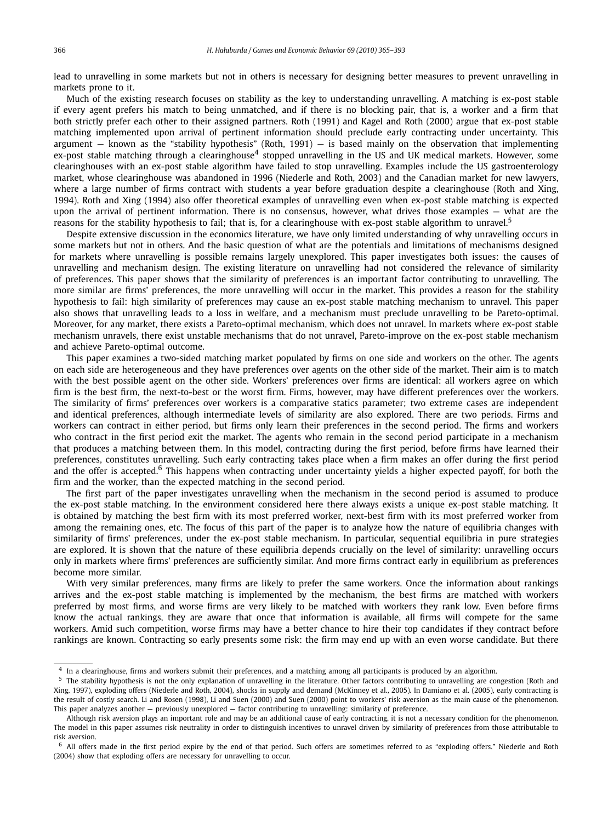lead to unravelling in some markets but not in others is necessary for designing better measures to prevent unravelling in markets prone to it.

Much of the existing research focuses on stability as the key to understanding unravelling. A matching is ex-post stable if every agent prefers his match to being unmatched, and if there is no blocking pair, that is, a worker and a firm that both strictly prefer each other to their assigned partners. Roth (1991) and Kagel and Roth (2000) argue that ex-post stable matching implemented upon arrival of pertinent information should preclude early contracting under uncertainty. This argument  $-$  known as the "stability hypothesis" (Roth, 1991)  $-$  is based mainly on the observation that implementing ex-post stable matching through a clearinghouse<sup>4</sup> stopped unravelling in the US and UK medical markets. However, some clearinghouses with an ex-post stable algorithm have failed to stop unravelling. Examples include the US gastroenterology market, whose clearinghouse was abandoned in 1996 (Niederle and Roth, 2003) and the Canadian market for new lawyers, where a large number of firms contract with students a year before graduation despite a clearinghouse (Roth and Xing, 1994). Roth and Xing (1994) also offer theoretical examples of unravelling even when ex-post stable matching is expected upon the arrival of pertinent information. There is no consensus, however, what drives those examples — what are the reasons for the stability hypothesis to fail; that is, for a clearinghouse with ex-post stable algorithm to unravel.<sup>5</sup>

Despite extensive discussion in the economics literature, we have only limited understanding of why unravelling occurs in some markets but not in others. And the basic question of what are the potentials and limitations of mechanisms designed for markets where unravelling is possible remains largely unexplored. This paper investigates both issues: the causes of unravelling and mechanism design. The existing literature on unravelling had not considered the relevance of similarity of preferences. This paper shows that the similarity of preferences is an important factor contributing to unravelling. The more similar are firms' preferences, the more unravelling will occur in the market. This provides a reason for the stability hypothesis to fail: high similarity of preferences may cause an ex-post stable matching mechanism to unravel. This paper also shows that unravelling leads to a loss in welfare, and a mechanism must preclude unravelling to be Pareto-optimal. Moreover, for any market, there exists a Pareto-optimal mechanism, which does not unravel. In markets where ex-post stable mechanism unravels, there exist unstable mechanisms that do not unravel, Pareto-improve on the ex-post stable mechanism and achieve Pareto-optimal outcome.

This paper examines a two-sided matching market populated by firms on one side and workers on the other. The agents on each side are heterogeneous and they have preferences over agents on the other side of the market. Their aim is to match with the best possible agent on the other side. Workers' preferences over firms are identical: all workers agree on which firm is the best firm, the next-to-best or the worst firm. Firms, however, may have different preferences over the workers. The similarity of firms' preferences over workers is a comparative statics parameter; two extreme cases are independent and identical preferences, although intermediate levels of similarity are also explored. There are two periods. Firms and workers can contract in either period, but firms only learn their preferences in the second period. The firms and workers who contract in the first period exit the market. The agents who remain in the second period participate in a mechanism that produces a matching between them. In this model, contracting during the first period, before firms have learned their preferences, constitutes unravelling. Such early contracting takes place when a firm makes an offer during the first period and the offer is accepted.<sup>6</sup> This happens when contracting under uncertainty yields a higher expected payoff, for both the firm and the worker, than the expected matching in the second period.

The first part of the paper investigates unravelling when the mechanism in the second period is assumed to produce the ex-post stable matching. In the environment considered here there always exists a unique ex-post stable matching. It is obtained by matching the best firm with its most preferred worker, next-best firm with its most preferred worker from among the remaining ones, etc. The focus of this part of the paper is to analyze how the nature of equilibria changes with similarity of firms' preferences, under the ex-post stable mechanism. In particular, sequential equilibria in pure strategies are explored. It is shown that the nature of these equilibria depends crucially on the level of similarity: unravelling occurs only in markets where firms' preferences are sufficiently similar. And more firms contract early in equilibrium as preferences become more similar.

With very similar preferences, many firms are likely to prefer the same workers. Once the information about rankings arrives and the ex-post stable matching is implemented by the mechanism, the best firms are matched with workers preferred by most firms, and worse firms are very likely to be matched with workers they rank low. Even before firms know the actual rankings, they are aware that once that information is available, all firms will compete for the same workers. Amid such competition, worse firms may have a better chance to hire their top candidates if they contract before rankings are known. Contracting so early presents some risk: the firm may end up with an even worse candidate. But there

<sup>&</sup>lt;sup>4</sup> In a clearinghouse, firms and workers submit their preferences, and a matching among all participants is produced by an algorithm.<br><sup>5</sup> The stability by pathosis is not the only explanation of unavalling in the literat

The stability hypothesis is not the only explanation of unravelling in the literature. Other factors contributing to unravelling are congestion (Roth and Xing, 1997), exploding offers (Niederle and Roth, 2004), shocks in supply and demand (McKinney et al., 2005). In Damiano et al. (2005), early contracting is the result of costly search. Li and Rosen (1998), Li and Suen (2000) and Suen (2000) point to workers' risk aversion as the main cause of the phenomenon. This paper analyzes another — previously unexplored — factor contributing to unravelling: similarity of preference.

Although risk aversion plays an important role and may be an additional cause of early contracting, it is not a necessary condition for the phenomenon. The model in this paper assumes risk neutrality in order to distinguish incentives to unravel driven by similarity of preferences from those attributable to risk aversion.

 $6$  All offers made in the first period expire by the end of that period. Such offers are sometimes referred to as "exploding offers." Niederle and Roth (2004) show that exploding offers are necessary for unravelling to occur.